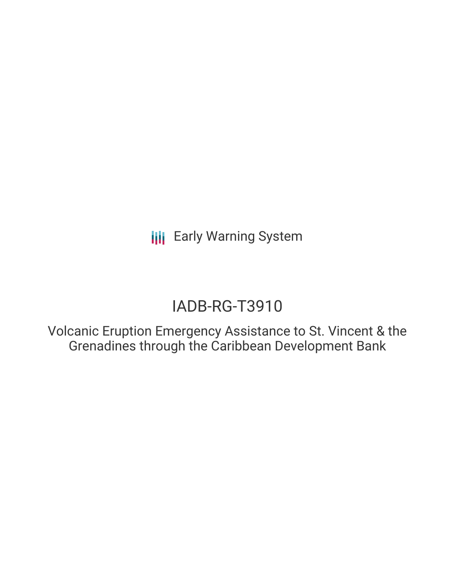**III** Early Warning System

# IADB-RG-T3910

Volcanic Eruption Emergency Assistance to St. Vincent & the Grenadines through the Caribbean Development Bank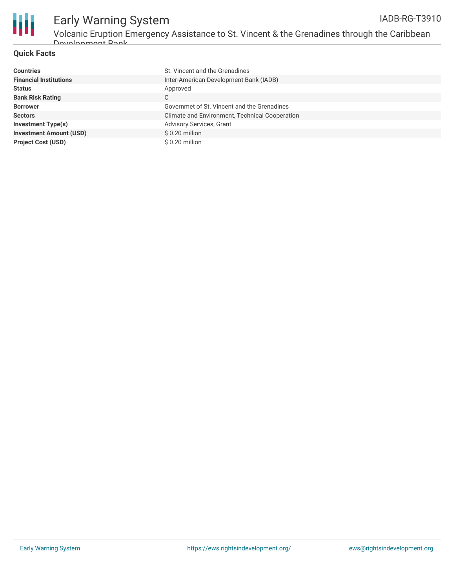

#### **Quick Facts**

| <b>Countries</b>               | St. Vincent and the Grenadines                 |
|--------------------------------|------------------------------------------------|
| <b>Financial Institutions</b>  | Inter-American Development Bank (IADB)         |
| <b>Status</b>                  | Approved                                       |
| <b>Bank Risk Rating</b>        | C                                              |
| <b>Borrower</b>                | Governmet of St. Vincent and the Grenadines    |
| <b>Sectors</b>                 | Climate and Environment, Technical Cooperation |
| <b>Investment Type(s)</b>      | Advisory Services, Grant                       |
| <b>Investment Amount (USD)</b> | \$0.20 million                                 |
| <b>Project Cost (USD)</b>      | \$0.20 million                                 |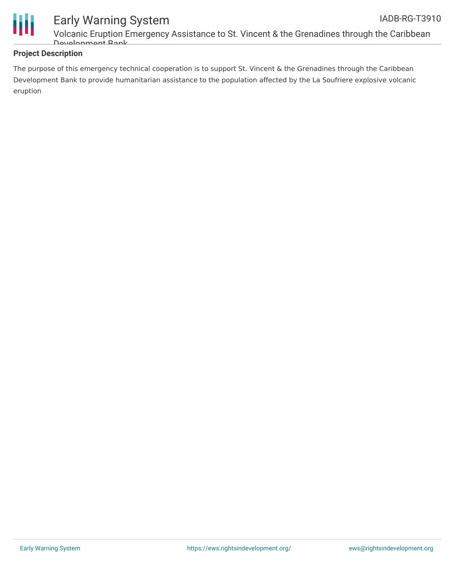

### **Project Description**

The purpose of this emergency technical cooperation is to support St. Vincent & the Grenadines through the Caribbean Development Bank to provide humanitarian assistance to the population affected by the La Soufriere explosive volcanic eruption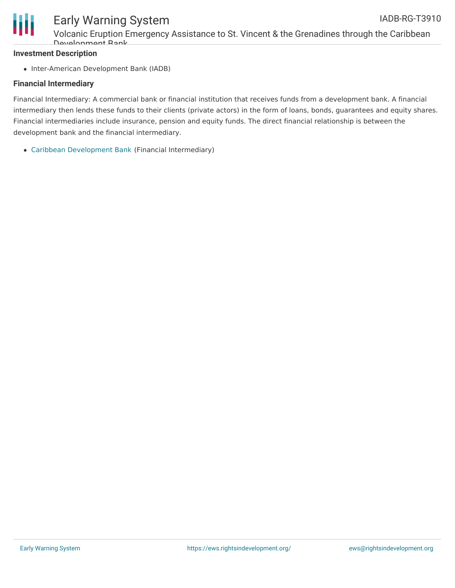

## Early Warning System

Volcanic Eruption Emergency Assistance to St. Vincent & the Grenadines through the Caribbean Development Bank

#### **Investment Description**

• Inter-American Development Bank (IADB)

#### **Financial Intermediary**

Financial Intermediary: A commercial bank or financial institution that receives funds from a development bank. A financial intermediary then lends these funds to their clients (private actors) in the form of loans, bonds, guarantees and equity shares. Financial intermediaries include insurance, pension and equity funds. The direct financial relationship is between the development bank and the financial intermediary.

Caribbean [Development](file:///actor/4175/) Bank (Financial Intermediary)